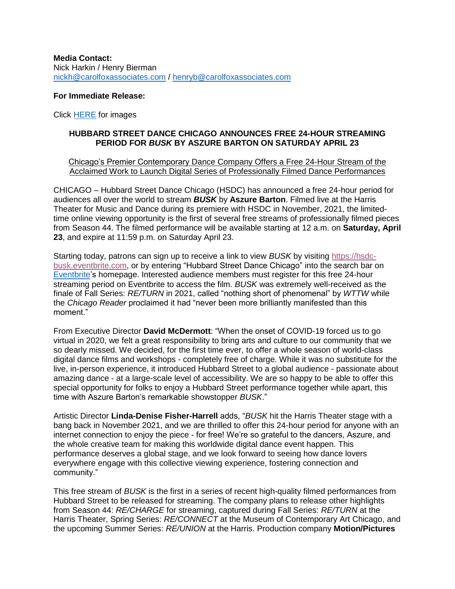**Media Contact:** Nick Harkin / Henry Bierman [nickh@carolfoxassociates.com](mailto:nickh@carolfoxassociates.com%20/) / [henryb@carolfoxassociates.com](mailto:henryb@carolfoxassociates.com)

#### **For Immediate Release:**

Click [HERE](https://www.dropbox.com/sh/w63b692z2q47al7/AABLkWAkQQjOsEsj0vy6YjGsa?dl=0) for images

#### **HUBBARD STREET DANCE CHICAGO ANNOUNCES FREE 24-HOUR STREAMING PERIOD FOR** *BUSK* **BY ASZURE BARTON ON SATURDAY APRIL 23**

#### Chicago's Premier Contemporary Dance Company Offers a Free 24-Hour Stream of the Acclaimed Work to Launch Digital Series of Professionally Filmed Dance Performances

CHICAGO – Hubbard Street Dance Chicago (HSDC) has announced a free 24-hour period for audiences all over the world to stream *BUSK* by **Aszure Barton**. Filmed live at the Harris Theater for Music and Dance during its premiere with HSDC in November, 2021, the limitedtime online viewing opportunity is the first of several free streams of professionally filmed pieces from Season 44. The filmed performance will be available starting at 12 a.m. on **Saturday, April 23**, and expire at 11:59 p.m. on Saturday April 23.

Starting today, patrons can sign up to receive a link to view *BUSK* by visiting [https://hsdc](https://hsdc-busk.eventbrite.com/)[busk.eventbrite.com,](https://hsdc-busk.eventbrite.com/) or by entering "Hubbard Street Dance Chicago" into the search bar on [Eventbrite's](https://www.eventbrite.com/) homepage. Interested audience members must register for this free 24-hour streaming period on Eventbrite to access the film. *BUSK* was extremely well-received as the finale of Fall Series: *RE/TURN* in 2021, called "nothing short of phenomenal" by *WTTW* while the *Chicago Reader* proclaimed it had "never been more brilliantly manifested than this moment."

From Executive Director **David McDermott**: "When the onset of COVID-19 forced us to go virtual in 2020, we felt a great responsibility to bring arts and culture to our community that we so dearly missed. We decided, for the first time ever, to offer a whole season of world-class digital dance films and workshops - completely free of charge. While it was no substitute for the live, in-person experience, it introduced Hubbard Street to a global audience - passionate about amazing dance - at a large-scale level of accessibility. We are so happy to be able to offer this special opportunity for folks to enjoy a Hubbard Street performance together while apart, this time with Aszure Barton's remarkable showstopper *BUSK*."

Artistic Director **Linda-Denise Fisher-Harrell** adds, "*BUSK* hit the Harris Theater stage with a bang back in November 2021, and we are thrilled to offer this 24-hour period for anyone with an internet connection to enjoy the piece - for free! We're so grateful to the dancers, Aszure, and the whole creative team for making this worldwide digital dance event happen. This performance deserves a global stage, and we look forward to seeing how dance lovers everywhere engage with this collective viewing experience, fostering connection and community."

This free stream of *BUSK* is the first in a series of recent high-quality filmed performances from Hubbard Street to be released for streaming. The company plans to release other highlights from Season 44: *RE/CHARGE* for streaming, captured during Fall Series: *RE/TURN* at the Harris Theater, Spring Series: *RE/CONNECT* at the Museum of Contemporary Art Chicago, and the upcoming Summer Series: *RE/UNION* at the Harris. Production company **Motion/Pictures**